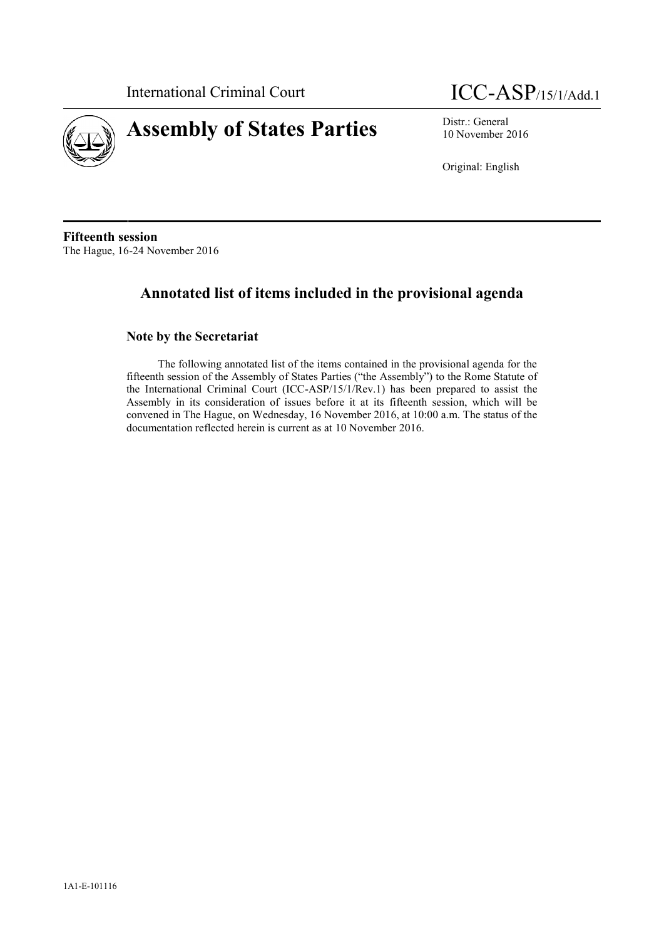

# **Assembly of States Parties** Distr.: General District General



10 November 2016

Original: English

**Fifteenth session** The Hague, 16-24 November 2016

## **Annotated list of items included in the provisional agenda**

## **Note by the Secretariat**

The following annotated list of the items contained in the provisional agenda for the fifteenth session of the Assembly of States Parties ("the Assembly") to the Rome Statute of the International Criminal Court (ICC-ASP/15/1/Rev.1) has been prepared to assist the Assembly in its consideration of issues before it at its fifteenth session, which will be convened in The Hague, on Wednesday, 16 November 2016, at 10:00 a.m. The status of the documentation reflected herein is current as at 10 November 2016.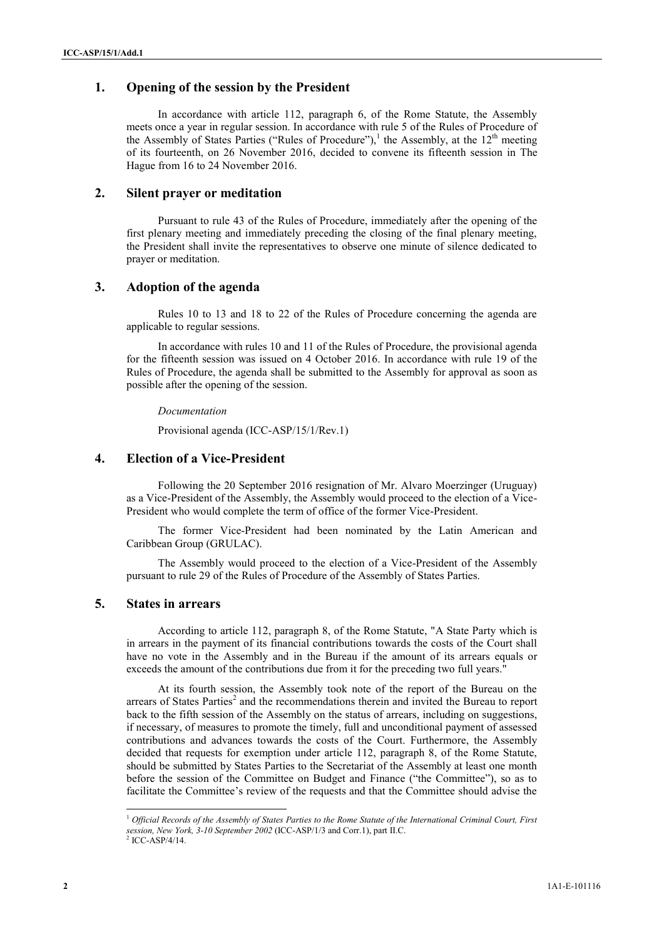## **1. Opening of the session by the President**

In accordance with article 112, paragraph 6, of the Rome Statute, the Assembly meets once a year in regular session. In accordance with rule 5 of the Rules of Procedure of the Assembly of States Parties ("Rules of Procedure"),<sup>1</sup> the Assembly, at the  $12<sup>th</sup>$  meeting of its fourteenth, on 26 November 2016, decided to convene its fifteenth session in The Hague from 16 to 24 November 2016.

## **2. Silent prayer or meditation**

Pursuant to rule 43 of the Rules of Procedure, immediately after the opening of the first plenary meeting and immediately preceding the closing of the final plenary meeting, the President shall invite the representatives to observe one minute of silence dedicated to prayer or meditation.

## **3. Adoption of the agenda**

Rules 10 to 13 and 18 to 22 of the Rules of Procedure concerning the agenda are applicable to regular sessions.

In accordance with rules 10 and 11 of the Rules of Procedure, the provisional agenda for the fifteenth session was issued on 4 October 2016. In accordance with rule 19 of the Rules of Procedure, the agenda shall be submitted to the Assembly for approval as soon as possible after the opening of the session.

#### *Documentation*

Provisional agenda (ICC-ASP/15/1/Rev.1)

## **4. Election of a Vice-President**

Following the 20 September 2016 resignation of Mr. Alvaro Moerzinger (Uruguay) as a Vice-President of the Assembly, the Assembly would proceed to the election of a Vice- President who would complete the term of office of the former Vice-President.

The former Vice-President had been nominated by the Latin American and Caribbean Group (GRULAC).

The Assembly would proceed to the election of a Vice-President of the Assembly pursuant to rule 29 of the Rules of Procedure of the Assembly of States Parties.

## **5. States in arrears**

According to article 112, paragraph 8, of the Rome Statute, "A State Party which is in arrears in the payment of its financial contributions towards the costs of the Court shall have no vote in the Assembly and in the Bureau if the amount of its arrears equals or exceeds the amount of the contributions due from it for the preceding two full years."

At its fourth session, the Assembly took note of the report of the Bureau on the arrears of States Parties<sup>2</sup> and the recommendations therein and invited the Bureau to report back to the fifth session of the Assembly on the status of arrears, including on suggestions, if necessary, of measures to promote the timely, full and unconditional payment of assessed contributions and advances towards the costs of the Court. Furthermore, the Assembly decided that requests for exemption under article 112, paragraph 8, of the Rome Statute, should be submitted by States Parties to the Secretariat of the Assembly at least one month before the session of the Committee on Budget and Finance ("the Committee"), so as to facilitate the Committee's review of the requests and that the Committee should advise the

<sup>1</sup> *Official Records of the Assembly of States Parties to the Rome Statute of the International Criminal Court, First session, New York, 3-10 September 2002* (ICC-ASP/1/3 and Corr.1), part II.C.  $2$  ICC-ASP/4/14.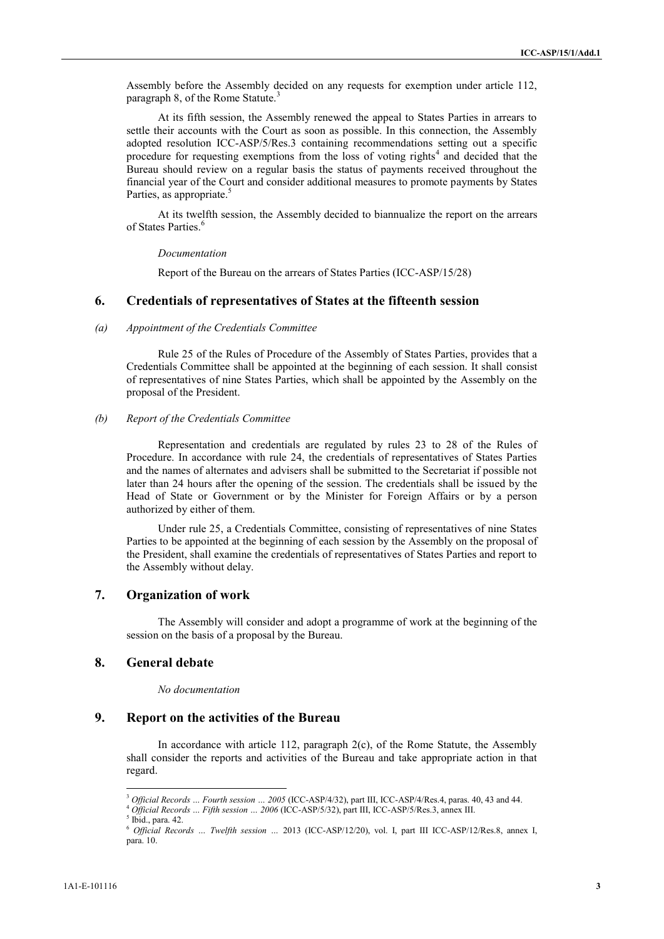Assembly before the Assembly decided on any requests for exemption under article 112, paragraph 8, of the Rome Statute.<sup>3</sup>

At its fifth session, the Assembly renewed the appeal to States Parties in arrears to settle their accounts with the Court as soon as possible. In this connection, the Assembly adopted resolution ICC-ASP/5/Res.3 containing recommendations setting out a specific procedure for requesting exemptions from the loss of voting rights<sup>4</sup> and decided that the Bureau should review on a regular basis the status of payments received throughout the financial year of the Court and consider additional measures to promote payments by States Parties, as appropriate.<sup>5</sup>

At its twelfth session, the Assembly decided to biannualize the report on the arrears of States Parties<sup>6</sup>

#### *Documentation*

Report of the Bureau on the arrears of States Parties (ICC-ASP/15/28)

## **6. Credentials of representatives of States at the fifteenth session**

#### *(a) Appointment of the Credentials Committee*

Rule 25 of the Rules of Procedure of the Assembly of States Parties, provides that a Credentials Committee shall be appointed at the beginning of each session. It shall consist of representatives of nine States Parties, which shall be appointed by the Assembly on the proposal of the President.

#### *(b) Report of the Credentials Committee*

Representation and credentials are regulated by rules 23 to 28 of the Rules of Procedure. In accordance with rule 24, the credentials of representatives of States Parties and the names of alternates and advisers shall be submitted to the Secretariat if possible not later than 24 hours after the opening of the session. The credentials shall be issued by the Head of State or Government or by the Minister for Foreign Affairs or by a person authorized by either of them.

Under rule 25, a Credentials Committee, consisting of representatives of nine States Parties to be appointed at the beginning of each session by the Assembly on the proposal of the President, shall examine the credentials of representatives of States Parties and report to the Assembly without delay.

## **7. Organization of work**

The Assembly will consider and adopt a programme of work at the beginning of the session on the basis of a proposal by the Bureau.

## **8. General debate**

#### *No documentation*

## **9. Report on the activities of the Bureau**

In accordance with article 112, paragraph 2(c), of the Rome Statute, the Assembly shall consider the reports and activities of the Bureau and take appropriate action in that regard.

<sup>3</sup> *Official Records … Fourth session … 2005* (ICC-ASP/4/32), part III, ICC-ASP/4/Res.4, paras. 40, 43 and 44.

<sup>4</sup> *Official Records … Fifth session … <sup>2006</sup>* (ICC-ASP/5/32), part III, ICC-ASP/5/Res.3, annex III. <sup>5</sup> Ibid., para. 42.

<sup>6</sup> *Official Records … Twelfth session …* 2013 (ICC-ASP/12/20), vol. I, part III ICC-ASP/12/Res.8, annex I, para. 10.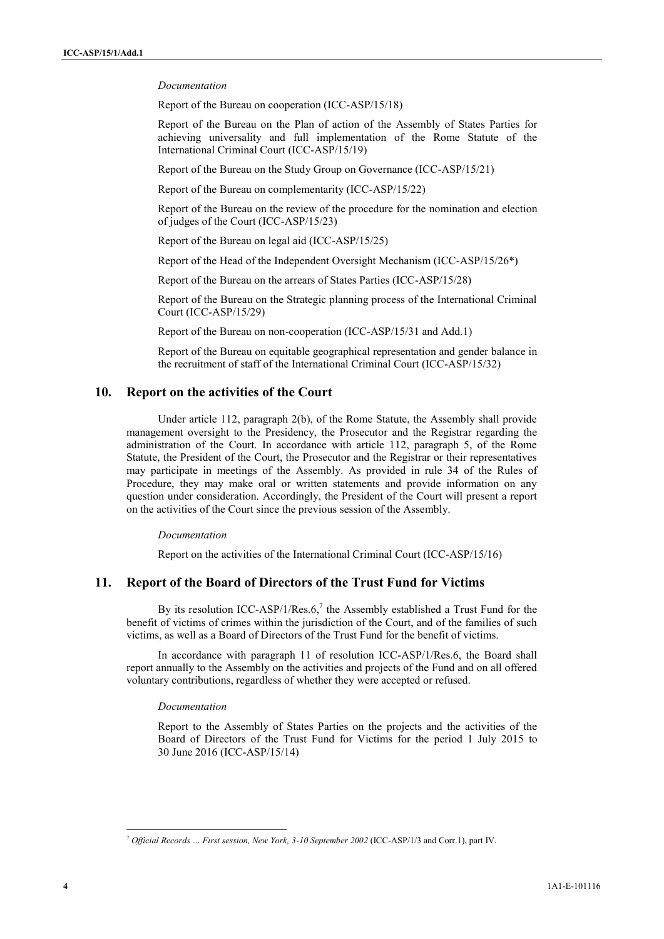#### *Documentation*

Report of the Bureau on cooperation (ICC-ASP/15/18)

Report of the Bureau on the Plan of action of the Assembly of States Parties for achieving universality and full implementation of the Rome Statute of the International Criminal Court (ICC-ASP/15/19)

Report of the Bureau on the Study Group on Governance (ICC-ASP/15/21)

Report of the Bureau on complementarity (ICC-ASP/15/22)

Report of the Bureau on the review of the procedure for the nomination and election of judges of the Court (ICC-ASP/15/23)

Report of the Bureau on legal aid (ICC-ASP/15/25)

Report of the Head of the Independent Oversight Mechanism (ICC-ASP/15/26\*)

Report of the Bureau on the arrears of States Parties (ICC-ASP/15/28)

Report of the Bureau on the Strategic planning process of the International Criminal Court (ICC-ASP/15/29)

Report of the Bureau on non-cooperation (ICC-ASP/15/31 and Add.1)

Report of the Bureau on equitable geographical representation and gender balance in the recruitment of staff of the International Criminal Court (ICC-ASP/15/32)

### **10. Report on the activities of the Court**

Under article 112, paragraph 2(b), of the Rome Statute, the Assembly shall provide management oversight to the Presidency, the Prosecutor and the Registrar regarding the administration of the Court. In accordance with article 112, paragraph 5, of the Rome Statute, the President of the Court, the Prosecutor and the Registrar or their representatives may participate in meetings of the Assembly. As provided in rule 34 of the Rules of Procedure, they may make oral or written statements and provide information on any question under consideration. Accordingly, the President of the Court will present a report on the activities of the Court since the previous session of the Assembly.

#### *Documentation*

Report on the activities of the International Criminal Court (ICC-ASP/15/16)

## **11. Report of the Board of Directors of the Trust Fund for Victims**

By its resolution ICC-ASP/1/Res.6,<sup>7</sup> the Assembly established a Trust Fund for the benefit of victims of crimes within the jurisdiction of the Court, and of the families of such victims, as well as a Board of Directors of the Trust Fund for the benefit of victims.

In accordance with paragraph 11 of resolution ICC-ASP/1/Res.6, the Board shall report annually to the Assembly on the activities and projects of the Fund and on all offered voluntary contributions, regardless of whether they were accepted or refused.

#### *Documentation*

Report to the Assembly of States Parties on the projects and the activities of the Board of Directors of the Trust Fund for Victims for the period 1 July 2015 to 30 June 2016 (ICC-ASP/15/14)

<sup>7</sup> *Official Records … First session, New York, 3-10 September 2002* (ICC-ASP/1/3 and Corr.1), part IV.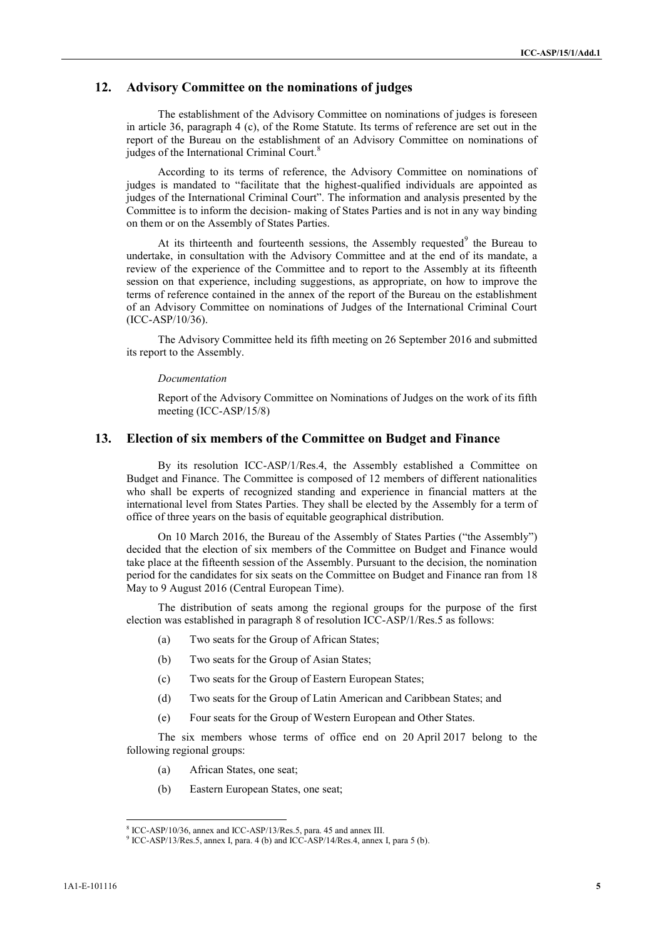## **12. Advisory Committee on the nominations of judges**

The establishment of the Advisory Committee on nominations of judges is foreseen in article 36, paragraph 4 (c), of the Rome Statute. Its terms of reference are set out in the report of the Bureau on the establishment of an Advisory Committee on nominations of judges of the International Criminal Court.<sup>8</sup>

According to its terms of reference, the Advisory Committee on nominations of judges is mandated to "facilitate that the highest-qualified individuals are appointed as judges of the International Criminal Court". The information and analysis presented by the Committee is to inform the decision- making of States Parties and is not in any way binding on them or on the Assembly of States Parties.

At its thirteenth and fourteenth sessions, the Assembly requested<sup>9</sup> the Bureau to undertake, in consultation with the Advisory Committee and at the end of its mandate, a review of the experience of the Committee and to report to the Assembly at its fifteenth session on that experience, including suggestions, as appropriate, on how to improve the terms of reference contained in the annex of the report of the Bureau on the establishment of an Advisory Committee on nominations of Judges of the International Criminal Court (ICC-ASP/10/36).

The Advisory Committee held its fifth meeting on 26 September 2016 and submitted its report to the Assembly.

#### *Documentation*

Report of the Advisory Committee on Nominations of Judges on the work of its fifth meeting (ICC-ASP/15/8)

## **13. Election of six members of the Committee on Budget and Finance**

By its resolution ICC-ASP/1/Res.4, the Assembly established a Committee on Budget and Finance. The Committee is composed of 12 members of different nationalities who shall be experts of recognized standing and experience in financial matters at the international level from States Parties. They shall be elected by the Assembly for a term of office of three years on the basis of equitable geographical distribution.

On 10 March 2016, the Bureau of the Assembly of States Parties ("the Assembly") decided that the election of six members of the Committee on Budget and Finance would take place at the fifteenth session of the Assembly. Pursuant to the decision, the nomination period for the candidates for six seats on the Committee on Budget and Finance ran from 18 May to 9 August 2016 (Central European Time).

The distribution of seats among the regional groups for the purpose of the first election was established in paragraph 8 of resolution ICC-ASP/1/Res.5 as follows:

- (a) Two seats for the Group of African States;
- (b) Two seats for the Group of Asian States;
- (c) Two seats for the Group of Eastern European States;
- (d) Two seats for the Group of Latin American and Caribbean States; and
- (e) Four seats for the Group of Western European and Other States.

The six members whose terms of office end on 20 April 2017 belong to the following regional groups:

- (a) African States, one seat;
- (b) Eastern European States, one seat;

<sup>8</sup> ICC-ASP/10/36, annex and ICC-ASP/13/Res.5, para. 45 and annex III.

<sup>9</sup> ICC-ASP/13/Res.5, annex I, para. 4 (b) and ICC-ASP/14/Res.4, annex I, para 5 (b).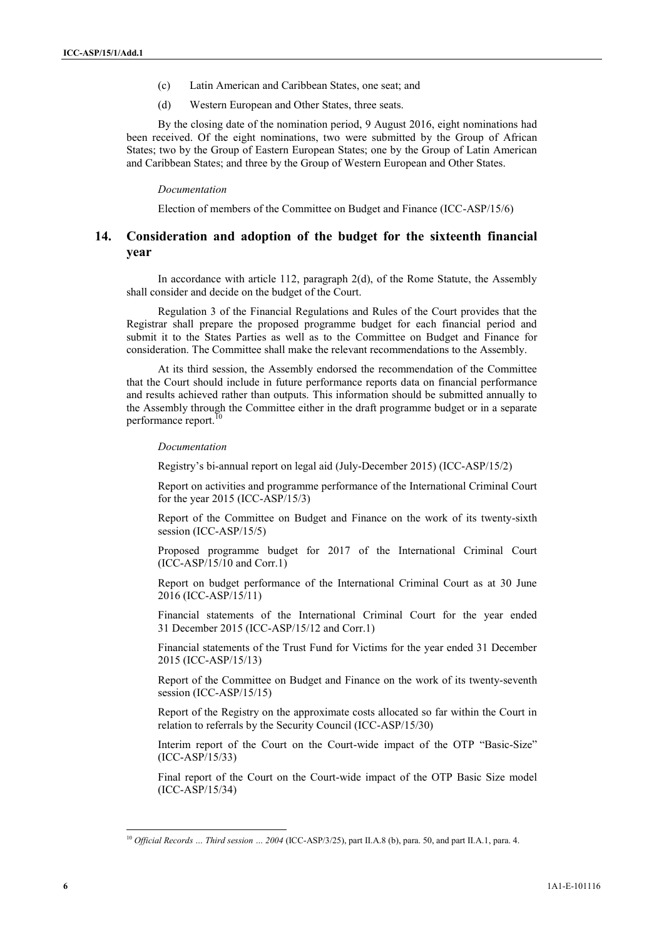- (c) Latin American and Caribbean States, one seat; and
- (d) Western European and Other States, three seats.

By the closing date of the nomination period, 9 August 2016, eight nominations had been received. Of the eight nominations, two were submitted by the Group of African States; two by the Group of Eastern European States; one by the Group of Latin American and Caribbean States; and three by the Group of Western European and Other States.

#### *Documentation*

Election of members of the Committee on Budget and Finance (ICC-ASP/15/6)

## **14. Consideration and adoption of the budget for the sixteenth financial year**

In accordance with article 112, paragraph 2(d), of the Rome Statute, the Assembly shall consider and decide on the budget of the Court.

Regulation 3 of the Financial Regulations and Rules of the Court provides that the Registrar shall prepare the proposed programme budget for each financial period and submit it to the States Parties as well as to the Committee on Budget and Finance for consideration. The Committee shall make the relevant recommendations to the Assembly.

At its third session, the Assembly endorsed the recommendation of the Committee that the Court should include in future performance reports data on financial performance and results achieved rather than outputs. This information should be submitted annually to the Assembly through the Committee either in the draft programme budget or in a separate performance report.

#### *Documentation*

Registry's bi-annual report on legal aid (July-December 2015) (ICC-ASP/15/2)

Report on activities and programme performance of the International Criminal Court for the year 2015 (ICC-ASP/15/3)

Report of the Committee on Budget and Finance on the work of its twenty-sixth session (ICC-ASP/15/5)

Proposed programme budget for 2017 of the International Criminal Court (ICC-ASP/15/10 and Corr.1)

Report on budget performance of the International Criminal Court as at 30 June 2016 (ICC-ASP/15/11)

Financial statements of the International Criminal Court for the year ended 31 December 2015 (ICC-ASP/15/12 and Corr.1)

Financial statements of the Trust Fund for Victims for the year ended 31 December 2015 (ICC-ASP/15/13)

Report of the Committee on Budget and Finance on the work of its twenty-seventh session (ICC-ASP/15/15)

Report of the Registry on the approximate costs allocated so far within the Court in relation to referrals by the Security Council (ICC-ASP/15/30)

Interim report of the Court on the Court-wide impact of the OTP "Basic-Size" (ICC-ASP/15/33)

Final report of the Court on the Court-wide impact of the OTP Basic Size model (ICC-ASP/15/34)

<sup>10</sup> *Official Records … Third session … 2004* (ICC-ASP/3/25), part II.A.8 (b), para. 50, and part II.A.1, para. 4.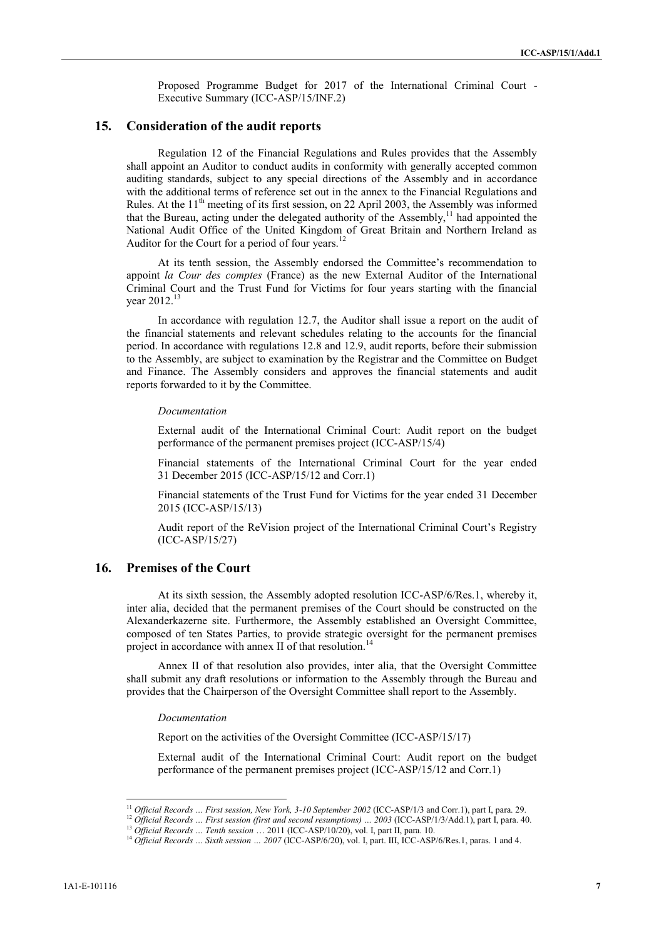Proposed Programme Budget for 2017 of the International Criminal Court - Executive Summary (ICC-ASP/15/INF.2)

### **15. Consideration of the audit reports**

Regulation 12 of the Financial Regulations and Rules provides that the Assembly shall appoint an Auditor to conduct audits in conformity with generally accepted common auditing standards, subject to any special directions of the Assembly and in accordance with the additional terms of reference set out in the annex to the Financial Regulations and Rules. At the  $11<sup>th</sup>$  meeting of its first session, on 22 April 2003, the Assembly was informed that the Bureau, acting under the delegated authority of the Assembly,<sup>11</sup> had appointed the National Audit Office of the United Kingdom of Great Britain and Northern Ireland as Auditor for the Court for a period of four years.<sup>12</sup>

At its tenth session, the Assembly endorsed the Committee's recommendation to appoint *la Cour des comptes* (France) as the new External Auditor of the International Criminal Court and the Trust Fund for Victims for four years starting with the financial vear 2012<sup>13</sup>

In accordance with regulation 12.7, the Auditor shall issue a report on the audit of the financial statements and relevant schedules relating to the accounts for the financial period. In accordance with regulations 12.8 and 12.9, audit reports, before their submission to the Assembly, are subject to examination by the Registrar and the Committee on Budget and Finance. The Assembly considers and approves the financial statements and audit reports forwarded to it by the Committee.

#### *Documentation*

External audit of the International Criminal Court: Audit report on the budget performance of the permanent premises project (ICC-ASP/15/4)

Financial statements of the International Criminal Court for the year ended 31 December 2015 (ICC-ASP/15/12 and Corr.1)

Financial statements of the Trust Fund for Victims for the year ended 31 December 2015 (ICC-ASP/15/13)

Audit report of the ReVision project of the International Criminal Court's Registry (ICC-ASP/15/27)

## **16. Premises of the Court**

At its sixth session, the Assembly adopted resolution ICC-ASP/6/Res.1, whereby it, inter alia, decided that the permanent premises of the Court should be constructed on the Alexanderkazerne site. Furthermore, the Assembly established an Oversight Committee, composed of ten States Parties, to provide strategic oversight for the permanent premises project in accordance with annex II of that resolution.<sup>14</sup>

Annex II of that resolution also provides, inter alia, that the Oversight Committee shall submit any draft resolutions or information to the Assembly through the Bureau and provides that the Chairperson of the Oversight Committee shall report to the Assembly.

#### *Documentation*

Report on the activities of the Oversight Committee (ICC-ASP/15/17)

External audit of the International Criminal Court: Audit report on the budget performance of the permanent premises project (ICC-ASP/15/12 and Corr.1)

<sup>&</sup>lt;sup>11</sup> Official Records ... First session, New York, 3-10 September 2002 (ICC-ASP/1/3 and Corr.1), part I, para. 29.<br><sup>12</sup> Official Records ... First session (first and second resumptions) ... 2003 (ICC-ASP/1/3/Add.1), part

<sup>13</sup> *Official Records … Tenth session* … 2011 (ICC-ASP/10/20), vol. I, part II, para. 10.

<sup>&</sup>lt;sup>14</sup> Official Records ... Sixth session ... 2007 (ICC-ASP/6/20), vol. I, part. III, ICC-ASP/6/Res.1, paras. 1 and 4.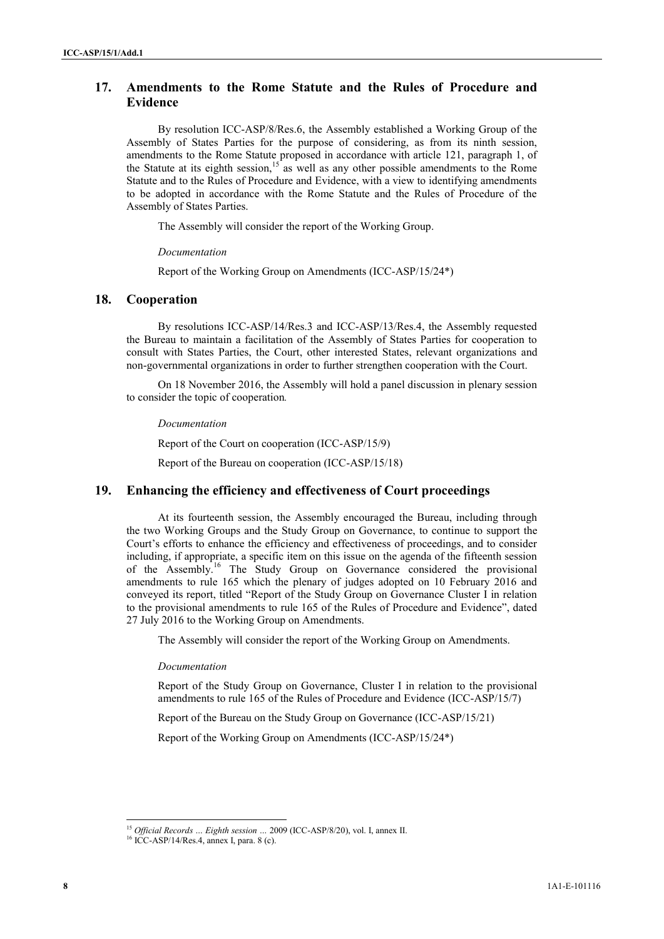## **17. Amendments to the Rome Statute and the Rules of Procedure and Evidence**

By resolution ICC-ASP/8/Res.6, the Assembly established a Working Group of the Assembly of States Parties for the purpose of considering, as from its ninth session, amendments to the Rome Statute proposed in accordance with article 121, paragraph 1, of the Statute at its eighth session,<sup>15</sup> as well as any other possible amendments to the Rome Statute and to the Rules of Procedure and Evidence, with a view to identifying amendments to be adopted in accordance with the Rome Statute and the Rules of Procedure of the Assembly of States Parties.

The Assembly will consider the report of the Working Group.

#### *Documentation*

Report of the Working Group on Amendments (ICC-ASP/15/24\*)

## **18. Cooperation**

By resolutions ICC-ASP/14/Res.3 and ICC-ASP/13/Res.4, the Assembly requested the Bureau to maintain a facilitation of the Assembly of States Parties for cooperation to consult with States Parties, the Court, other interested States, relevant organizations and non-governmental organizations in order to further strengthen cooperation with the Court.

On 18 November 2016, the Assembly will hold a panel discussion in plenary session to consider the topic of cooperation*.*

*Documentation*

Report of the Court on cooperation (ICC-ASP/15/9)

Report of the Bureau on cooperation (ICC-ASP/15/18)

## **19. Enhancing the efficiency and effectiveness of Court proceedings**

At its fourteenth session, the Assembly encouraged the Bureau, including through the two Working Groups and the Study Group on Governance, to continue to support the Court's efforts to enhance the efficiency and effectiveness of proceedings, and to consider including, if appropriate, a specific item on this issue on the agenda of the fifteenth session of the Assembly.<sup>16</sup> The Study Group on Governance considered the provisional amendments to rule 165 which the plenary of judges adopted on 10 February 2016 and conveyed its report, titled "Report of the Study Group on Governance Cluster I in relation to the provisional amendments to rule 165 of the Rules of Procedure and Evidence", dated 27 July 2016 to the Working Group on Amendments.

The Assembly will consider the report of the Working Group on Amendments.

## *Documentation*

Report of the Study Group on Governance, Cluster I in relation to the provisional amendments to rule 165 of the Rules of Procedure and Evidence (ICC-ASP/15/7)

Report of the Bureau on the Study Group on Governance (ICC-ASP/15/21)

Report of the Working Group on Amendments (ICC-ASP/15/24\*)

<sup>15</sup> *Official Records … Eighth session …* 2009 (ICC-ASP/8/20), vol. I, annex II.

 $16$  ICC-ASP/14/Res.4, annex I, para. 8 (c).